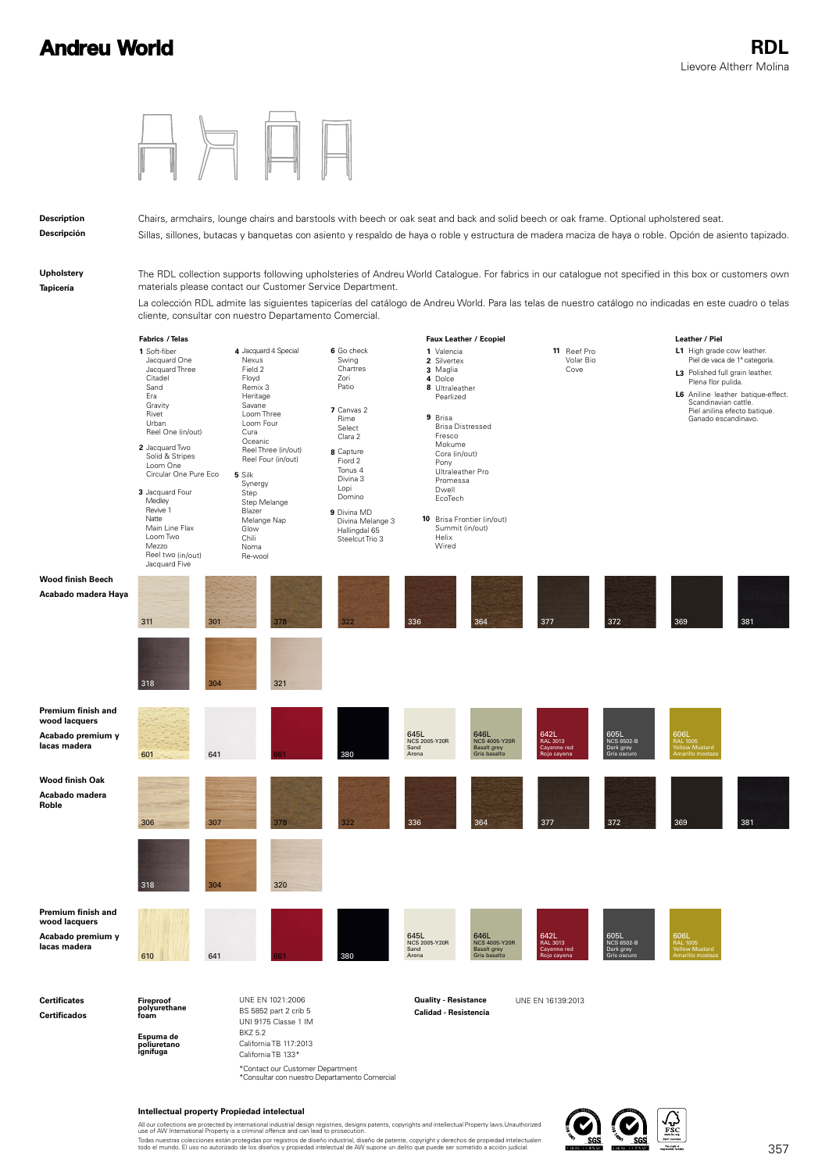

#### **Intellectual property Propiedad intelectual**

All our collections are protected by international industrial design registries, designs patents, copyrights and intellectual Property laws.Unauthorized<br>use of AW International Property is a criminal offence and can lead t Todas nuestras colecciones están protegidas por registros de diseño industrial, diseño de patente, copyright y derechos de propiedad intelectualen<br>todo el mundo. El uso no autorizado de los diseños y propiedad intelectual

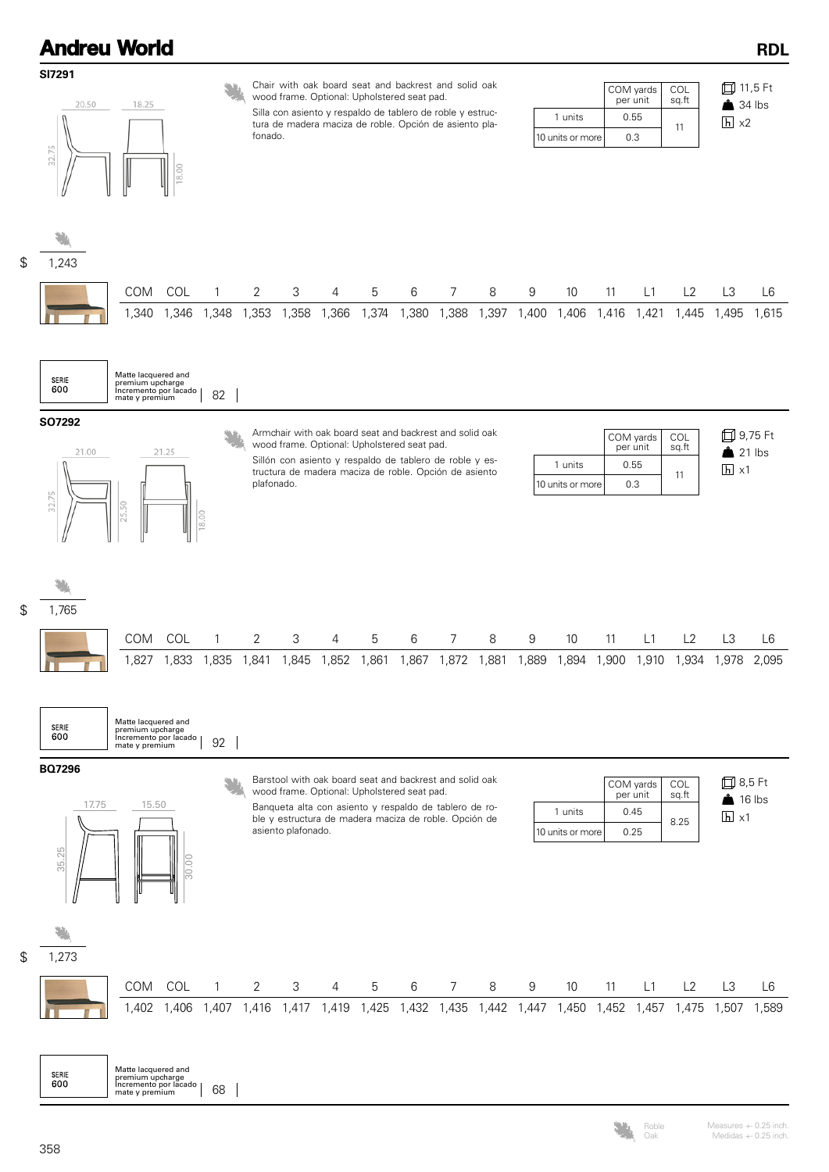

358

600

Oak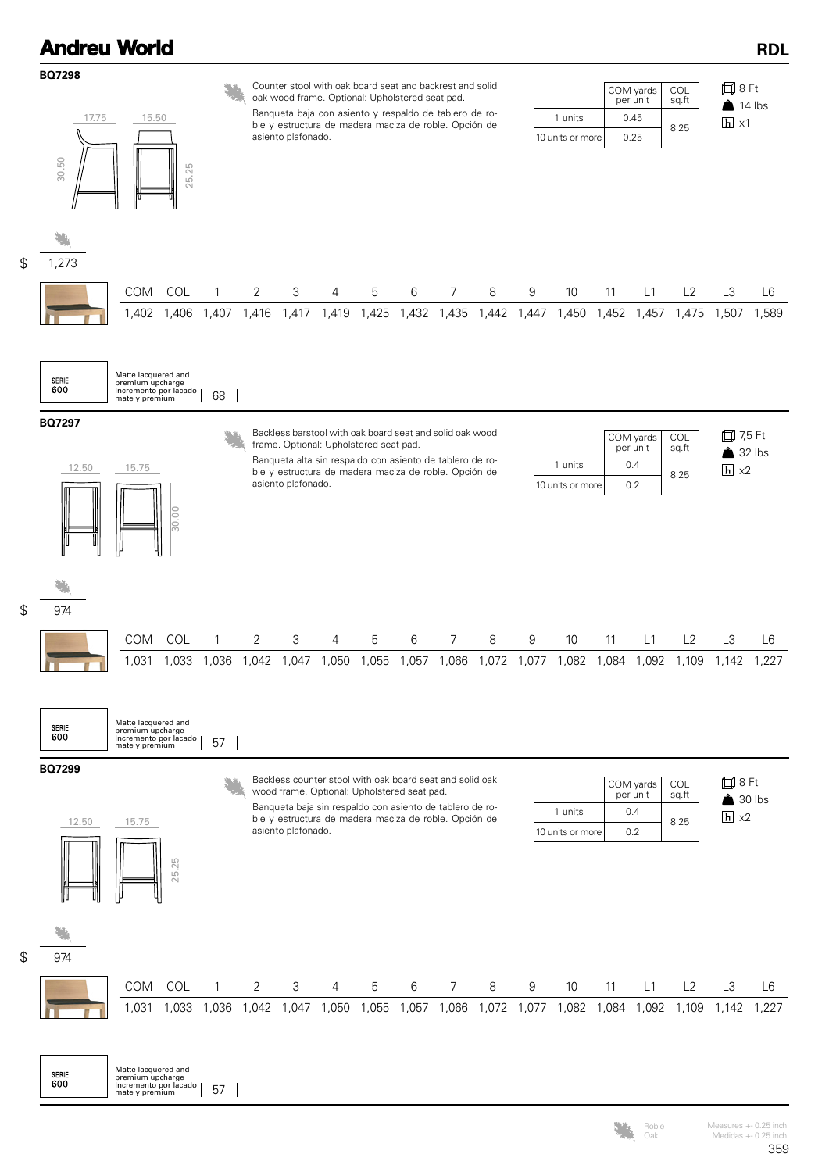

Oak